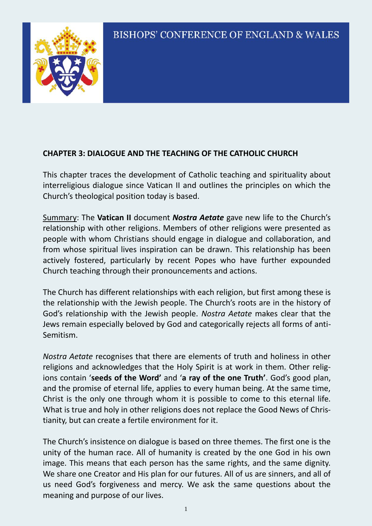

### **CHAPTER 3: DIALOGUE AND THE TEACHING OF THE CATHOLIC CHURCH**

This chapter traces the development of Catholic teaching and spirituality about interreligious dialogue since Vatican II and outlines the principles on which the Church's theological position today is based.

Summary: The **Vatican II** document *Nostra Aetate* gave new life to the Church's relationship with other religions. Members of other religions were presented as people with whom Christians should engage in dialogue and collaboration, and from whose spiritual lives inspiration can be drawn. This relationship has been actively fostered, particularly by recent Popes who have further expounded Church teaching through their pronouncements and actions.

The Church has different relationships with each religion, but first among these is the relationship with the Jewish people. The Church's roots are in the history of God's relationship with the Jewish people. *Nostra Aetate* makes clear that the Jews remain especially beloved by God and categorically rejects all forms of anti-Semitism.

*Nostra Aetate* recognises that there are elements of truth and holiness in other religions and acknowledges that the Holy Spirit is at work in them. Other religions contain '**seeds of the Word'** and '**a ray of the one Truth'**. God's good plan, and the promise of eternal life, applies to every human being. At the same time, Christ is the only one through whom it is possible to come to this eternal life. What is true and holy in other religions does not replace the Good News of Christianity, but can create a fertile environment for it.

The Church's insistence on dialogue is based on three themes. The first one is the unity of the human race. All of humanity is created by the one God in his own image. This means that each person has the same rights, and the same dignity. We share one Creator and His plan for our futures. All of us are sinners, and all of us need God's forgiveness and mercy. We ask the same questions about the meaning and purpose of our lives.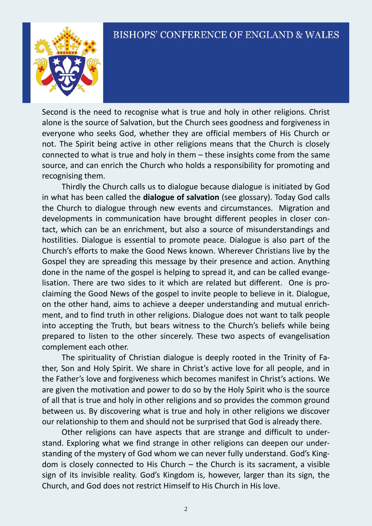

Second is the need to recognise what is true and holy in other religions. Christ alone is the source of Salvation, but the Church sees goodness and forgiveness in everyone who seeks God, whether they are official members of His Church or not. The Spirit being active in other religions means that the Church is closely connected to what is true and holy in them – these insights come from the same source, and can enrich the Church who holds a responsibility for promoting and recognising them.

 Thirdly the Church calls us to dialogue because dialogue is initiated by God in what has been called the **dialogue of salvation** (see glossary). Today God calls the Church to dialogue through new events and circumstances. Migration and developments in communication have brought different peoples in closer contact, which can be an enrichment, but also a source of misunderstandings and hostilities. Dialogue is essential to promote peace. Dialogue is also part of the Church's efforts to make the Good News known. Wherever Christians live by the Gospel they are spreading this message by their presence and action. Anything done in the name of the gospel is helping to spread it, and can be called evangelisation. There are two sides to it which are related but different. One is proclaiming the Good News of the gospel to invite people to believe in it. Dialogue, on the other hand, aims to achieve a deeper understanding and mutual enrichment, and to find truth in other religions. Dialogue does not want to talk people into accepting the Truth, but bears witness to the Church's beliefs while being prepared to listen to the other sincerely. These two aspects of evangelisation complement each other.

 The spirituality of Christian dialogue is deeply rooted in the Trinity of Father, Son and Holy Spirit. We share in Christ's active love for all people, and in the Father's love and forgiveness which becomes manifest in Christ's actions. We are given the motivation and power to do so by the Holy Spirit who is the source of all that is true and holy in other religions and so provides the common ground between us. By discovering what is true and holy in other religions we discover our relationship to them and should not be surprised that God is already there.

 Other religions can have aspects that are strange and difficult to understand. Exploring what we find strange in other religions can deepen our understanding of the mystery of God whom we can never fully understand. God's Kingdom is closely connected to His Church – the Church is its sacrament, a visible sign of its invisible reality. God's Kingdom is, however, larger than its sign, the Church, and God does not restrict Himself to His Church in His love.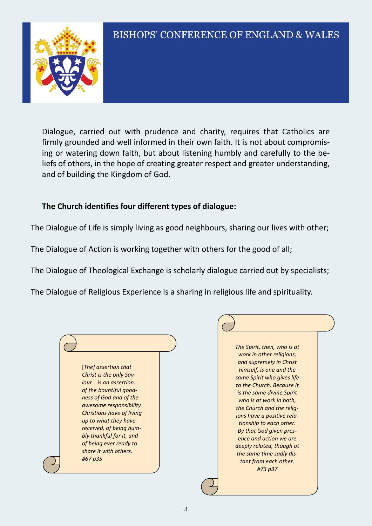Dialogue, carried out with prudence and charity, requires that Catholics are firmly grounded and well informed in their own faith. It is not about compromising or watering down faith, but about listening humbly and carefully to the beliefs of others, in the hope of creating greater respect and greater understanding, and of building the Kingdom of God.

#### **The Church identifies four different types of dialogue:**

The Dialogue of Life is simply living as good neighbours, sharing our lives with other;

The Dialogue of Action is working together with others for the good of all;

The Dialogue of Theological Exchange is scholarly dialogue carried out by specialists;

The Dialogue of Religious Experience is a sharing in religious life and spirituality.



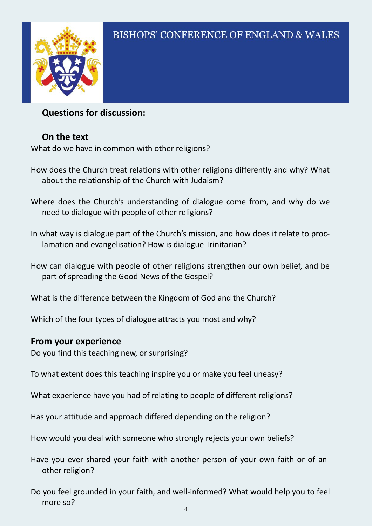

## **Questions for discussion:**

## **On the text**

What do we have in common with other religions?

- How does the Church treat relations with other religions differently and why? What about the relationship of the Church with Judaism?
- Where does the Church's understanding of dialogue come from, and why do we need to dialogue with people of other religions?

In what way is dialogue part of the Church's mission, and how does it relate to proclamation and evangelisation? How is dialogue Trinitarian?

How can dialogue with people of other religions strengthen our own belief, and be part of spreading the Good News of the Gospel?

What is the difference between the Kingdom of God and the Church?

Which of the four types of dialogue attracts you most and why?

## **From your experience**

Do you find this teaching new, or surprising?

To what extent does this teaching inspire you or make you feel uneasy?

What experience have you had of relating to people of different religions?

Has your attitude and approach differed depending on the religion?

How would you deal with someone who strongly rejects your own beliefs?

Have you ever shared your faith with another person of your own faith or of another religion?

Do you feel grounded in your faith, and well-informed? What would help you to feel more so?